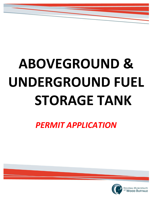# **ABOVEGROUND & UNDERGROUND FUEL STORAGE TANK**

*PERMIT APPLICATION*

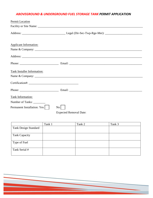# *ABOVEGROUND & UNDERGROUND FUEL STORAGE TANK PERMIT APPLICATION*

| <b>Applicant Information:</b> |  |  |  |
|-------------------------------|--|--|--|
|                               |  |  |  |
|                               |  |  |  |
|                               |  |  |  |
| Tank Installer Information:   |  |  |  |
|                               |  |  |  |
|                               |  |  |  |
|                               |  |  |  |
| Tank Information:             |  |  |  |

Expected Removal Date:

|                             | Tank 1 | Tank 2 | Tank 3 |
|-----------------------------|--------|--------|--------|
| <b>Tank Design Standard</b> |        |        |        |
|                             |        |        |        |
| <b>Tank Capacity</b>        |        |        |        |
|                             |        |        |        |
| Type of Fuel                |        |        |        |
| Tank Serial #               |        |        |        |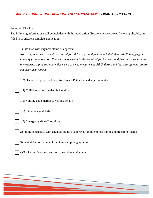# *ABOVEGROUND & UNDERGROUND FUEL STORAGE TANK PERMIT APPLICATION*

### Submittal Checklist:

The following information shall be included with this application. Ensure all check boxes (where applicable) are filled in to ensure a complete application.

## 1) Site Plan with engineer stamp of approval

*Note: Engineer involvement is required for all Aboveground fuel tanks ≥ 8 000L or 20 000L aggregate capacity for one location. Engineer involvement is also required for Aboveground fuel tank systems with any external piping to remote dispensers or remote equipment. All Underground fuel tank systems require engineer involvement.*

1.2) Distance to property lines, structures, LPG tanks, and adjacent tanks

- 1.4) Collision protection details identified
- 1.5) Venting and emergency venting details
- 1.6) Site drainage details
- 1.7) Emergency shutoff locations

2) Piping schematics with engineer stamp of approval for all external piping and transfer systems.

- 3) Leak detection details of fuel tank and piping systems
- 4) Tank specification sheet from the tank manufacturer